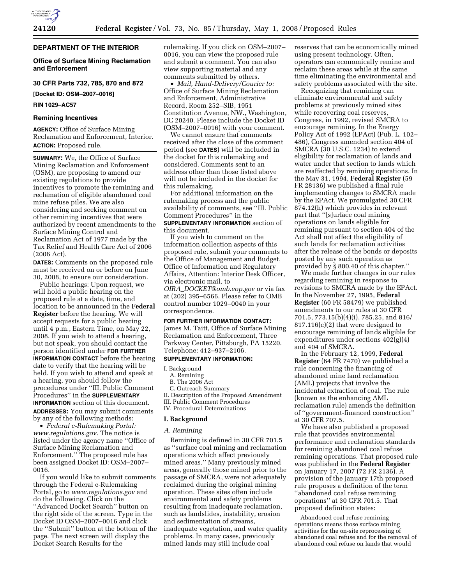# **DEPARTMENT OF THE INTERIOR**

# **Office of Surface Mining Reclamation and Enforcement**

# **30 CFR Parts 732, 785, 870 and 872**

**[Docket ID: OSM–2007–0016]** 

### **RIN 1029–AC57**

### **Remining Incentives**

**AGENCY:** Office of Surface Mining Reclamation and Enforcement, Interior. **ACTION:** Proposed rule.

**SUMMARY:** We, the Office of Surface Mining Reclamation and Enforcement (OSM), are proposing to amend our existing regulations to provide incentives to promote the remining and reclamation of eligible abandoned coal mine refuse piles. We are also considering and seeking comment on other remining incentives that were authorized by recent amendments to the Surface Mining Control and Reclamation Act of 1977 made by the Tax Relief and Health Care Act of 2006 (2006 Act).

**DATES:** Comments on the proposed rule must be received on or before on June 30, 2008, to ensure our consideration.

Public hearings: Upon request, we will hold a public hearing on the proposed rule at a date, time, and location to be announced in the **Federal Register** before the hearing. We will accept requests for a public hearing until 4 p.m., Eastern Time, on May 22, 2008. If you wish to attend a hearing, but not speak, you should contact the person identified under **FOR FURTHER INFORMATION CONTACT** before the hearing date to verify that the hearing will be held. If you wish to attend and speak at a hearing, you should follow the procedures under ''III. Public Comment Procedures'' in the **SUPPLEMENTARY INFORMATION** section of this document. **ADDRESSES:** You may submit comments by any of the following methods:

• *Federal e-Rulemaking Portal: www.regulations.gov.* The notice is listed under the agency name ''Office of Surface Mining Reclamation and Enforcement.'' The proposed rule has been assigned Docket ID: OSM–2007– 0016.

If you would like to submit comments through the Federal e-Rulemaking Portal, go to *www.regulations.gov* and do the following. Click on the ''Advanced Docket Search'' button on the right side of the screen. Type in the Docket ID OSM–2007–0016 and click the ''Submit'' button at the bottom of the page. The next screen will display the Docket Search Results for the

rulemaking. If you click on OSM–2007– 0016, you can view the proposed rule and submit a comment. You can also view supporting material and any comments submitted by others.

• *Mail, Hand-Delivery/Courier to:*  Office of Surface Mining Reclamation and Enforcement, Administrative Record, Room 252–SIB, 1951 Constitution Avenue, NW., Washington, DC 20240. Please include the Docket ID (OSM–2007–0016) with your comment.

We cannot ensure that comments received after the close of the comment period (see **DATES**) will be included in the docket for this rulemaking and considered. Comments sent to an address other than those listed above will not be included in the docket for this rulemaking.

For additional information on the rulemaking process and the public availability of comments, see ''III. Public Comment Procedures'' in the **SUPPLEMENTARY INFORMATION** section of this document.

If you wish to comment on the information collection aspects of this proposed rule, submit your comments to the Office of Management and Budget, Office of Information and Regulatory Affairs, Attention: Interior Desk Officer, via electronic mail, to *OIRA*\_*DOCKET@omb.eop.gov* or via fax at (202) 395–6566. Please refer to OMB control number 1029–0040 in your correspondence.

#### **FOR FURTHER INFORMATION CONTACT:**

James M. Taitt, Office of Surface Mining Reclamation and Enforcement, Three Parkway Center, Pittsburgh, PA 15220. Telephone: 412–937–2106.

### **SUPPLEMENTARY INFORMATION:**

#### I. Background

- A. Remining
- B. The 2006 Act
- C. Outreach Summary

II. Description of the Proposed Amendment III. Public Comment Procedures IV. Procedural Determinations

# **I. Background**

### *A. Remining*

Remining is defined in 30 CFR 701.5 as ''surface coal mining and reclamation operations which affect previously mined areas.'' Many previously mined areas, generally those mined prior to the passage of SMCRA, were not adequately reclaimed during the original mining operation. These sites often include environmental and safety problems resulting from inadequate reclamation, such as landslides, instability, erosion and sedimentation of streams, inadequate vegetation, and water quality problems. In many cases, previously mined lands may still include coal

reserves that can be economically mined using present technology. Often, operators can economically remine and reclaim these areas while at the same time eliminating the environmental and safety problems associated with the site.

Recognizing that remining can eliminate environmental and safety problems at previously mined sites while recovering coal reserves, Congress, in 1992, revised SMCRA to encourage remining. In the Energy Policy Act of 1992 (EPAct) (Pub. L. 102– 486), Congress amended section 404 of SMCRA (30 U.S.C. 1234) to extend eligibility for reclamation of lands and water under that section to lands which are reaffected by remining operations. In the May 31, 1994, **Federal Register** (59 FR 28136) we published a final rule implementing changes to SMCRA made by the EPAct. We promulgated 30 CFR 874.12(h) which provides in relevant part that ''[s]urface coal mining operations on lands eligible for remining pursuant to section 404 of the Act shall not affect the eligibility of such lands for reclamation activities after the release of the bonds or deposits posted by any such operation as provided by § 800.40 of this chapter.''

We made further changes in our rules regarding remining in response to revisions to SMCRA made by the EPAct. In the November 27, 1995, **Federal Register** (60 FR 58479) we published amendments to our rules at 30 CFR 701.5, 773.15(b)(4)(i), 785.25, and 816/ 817.116(c)(2) that were designed to encourage remining of lands eligible for expenditures under sections 402(g)(4) and 404 of SMCRA.

In the February 12, 1999, **Federal Register** (64 FR 7470) we published a rule concerning the financing of abandoned mine land reclamation (AML) projects that involve the incidental extraction of coal. The rule (known as the enhancing AML reclamation rule) amends the definition of ''government-financed construction'' at 30 CFR 707.5.

We have also published a proposed rule that provides environmental performance and reclamation standards for remining abandoned coal refuse remining operations. That proposed rule was published in the **Federal Register**  on January 17, 2007 (72 FR 2136). A provision of the January 17th proposed rule proposes a definition of the term ''abandoned coal refuse remining operations'' at 30 CFR 701.5. That proposed definition states:

Abandoned coal refuse remining operations means those surface mining activities for the on-site reprocessing of abandoned coal refuse and for the removal of abandoned coal refuse on lands that would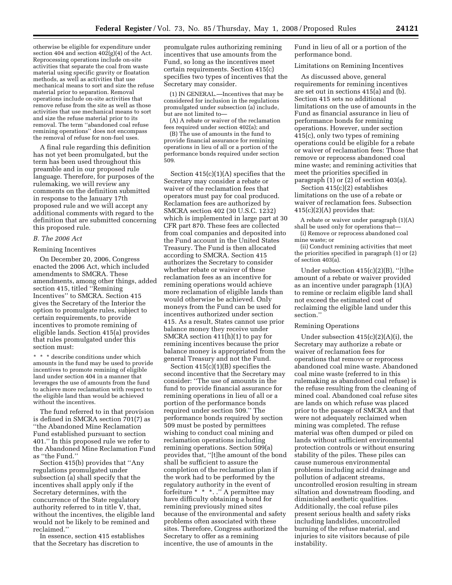otherwise be eligible for expenditure under section 404 and section  $402(g)(4)$  of the Act. Reprocessing operations include on-site activities that separate the coal from waste material using specific gravity or floatation methods, as well as activities that use mechanical means to sort and size the refuse material prior to separation. Removal operations include on-site activities that remove refuse from the site as well as those activities that use mechanical means to sort and size the refuse material prior to its removal. The term ''abandoned coal refuse remining operations'' does not encompass the removal of refuse for non-fuel uses.

A final rule regarding this definition has not yet been promulgated, but the term has been used throughout this preamble and in our proposed rule language. Therefore, for purposes of the rulemaking, we will review any comments on the definition submitted in response to the January 17th proposed rule and we will accept any additional comments with regard to the definition that are submitted concerning this proposed rule.

### *B. The 2006 Act*

#### Remining Incentives

On December 20, 2006, Congress enacted the 2006 Act, which included amendments to SMCRA. These amendments, among other things, added section 415, titled ''Remining Incentives'' to SMCRA. Section 415 gives the Secretary of the Interior the option to promulgate rules, subject to certain requirements, to provide incentives to promote remining of eligible lands. Section 415(a) provides that rules promulgated under this section must:

\* \* \* describe conditions under which amounts in the fund may be used to provide incentives to promote remining of eligible land under section 404 in a manner that leverages the use of amounts from the fund to achieve more reclamation with respect to the eligible land than would be achieved without the incentives.

The fund referred to in that provision is defined in SMCRA section 701(7) as ''the Abandoned Mine Reclamation Fund established pursuant to section 401.'' In this proposed rule we refer to the Abandoned Mine Reclamation Fund as ''the Fund.''

Section 415(b) provides that ''Any regulations promulgated under subsection (a) shall specify that the incentives shall apply only if the Secretary determines, with the concurrence of the State regulatory authority referred to in title V, that, without the incentives, the eligible land would not be likely to be remined and reclaimed.''

In essence, section 415 establishes that the Secretary has discretion to

promulgate rules authorizing remining incentives that use amounts from the Fund, so long as the incentives meet certain requirements. Section 415(c) specifies two types of incentives that the Secretary may consider.

(1) IN GENERAL.—Incentives that may be considered for inclusion in the regulations promulgated under subsection (a) include, but are not limited to—

(A) A rebate or waiver of the reclamation fees required under section 402(a); and

(B) The use of amounts in the fund to provide financial assurance for remining operations in lieu of all or a portion of the performance bonds required under section 509.

Section 415(c)(1)(A) specifies that the Secretary may consider a rebate or waiver of the reclamation fees that operators must pay for coal produced. Reclamation fees are authorized by SMCRA section 402 (30 U.S.C. 1232) which is implemented in large part at 30 CFR part 870. These fees are collected from coal companies and deposited into the Fund account in the United States Treasury. The Fund is then allocated according to SMCRA. Section 415 authorizes the Secretary to consider whether rebate or waiver of these reclamation fees as an incentive for remining operations would achieve more reclamation of eligible lands than would otherwise be achieved. Only moneys from the Fund can be used for incentives authorized under section 415. As a result, States cannot use prior balance money they receive under SMCRA section 411(h)(1) to pay for remining incentives because the prior balance money is appropriated from the general Treasury and not the Fund.

Section 415(c)(1)(B) specifies the second incentive that the Secretary may consider: ''The use of amounts in the fund to provide financial assurance for remining operations in lieu of all or a portion of the performance bonds required under section 509.'' The performance bonds required by section 509 must be posted by permittees wishing to conduct coal mining and reclamation operations including remining operations. Section 509(a) provides that, ''[t]he amount of the bond shall be sufficient to assure the completion of the reclamation plan if the work had to be performed by the regulatory authority in the event of forfeiture \* \* \*. .'' A permittee may have difficulty obtaining a bond for remining previously mined sites because of the environmental and safety problems often associated with these sites. Therefore, Congress authorized the Secretary to offer as a remining incentive, the use of amounts in the

Fund in lieu of all or a portion of the performance bond.

### Limitations on Remining Incentives

As discussed above, general requirements for remining incentives are set out in sections 415(a) and (b). Section 415 sets no additional limitations on the use of amounts in the Fund as financial assurance in lieu of performance bonds for remining operations. However, under section 415(c), only two types of remining operations could be eligible for a rebate or waiver of reclamation fees: Those that remove or reprocess abandoned coal mine waste; and remining activities that meet the priorities specified in paragraph (1) or (2) of section 403(a).

Section 415(c)(2) establishes limitations on the use of a rebate or waiver of reclamation fees. Subsection  $415(c)(2)(A)$  provides that:

A rebate or waiver under paragraph (1)(A) shall be used only for operations that—

(i) Remove or reprocess abandoned coal mine waste; or

(ii) Conduct remining activities that meet the priorities specified in paragraph (1) or (2) of section 403(a).

Under subsection 415(c)(2)(B), ''[t]he amount of a rebate or waiver provided as an incentive under paragraph (1)(A) to remine or reclaim eligible land shall not exceed the estimated cost of reclaiming the eligible land under this section.''

# Remining Operations

Under subsection  $415(c)(2)(A)(i)$ , the Secretary may authorize a rebate or waiver of reclamation fees for operations that remove or reprocess abandoned coal mine waste. Abandoned coal mine waste (referred to in this rulemaking as abandoned coal refuse) is the refuse resulting from the cleaning of mined coal. Abandoned coal refuse sites are lands on which refuse was placed prior to the passage of SMCRA and that were not adequately reclaimed when mining was completed. The refuse material was often dumped or piled on lands without sufficient environmental protection controls or without ensuring stability of the piles. These piles can cause numerous environmental problems including acid drainage and pollution of adjacent streams, uncontrolled erosion resulting in stream siltation and downstream flooding, and diminished aesthetic qualities. Additionally, the coal refuse piles present serious health and safety risks including landslides, uncontrolled burning of the refuse material, and injuries to site visitors because of pile instability.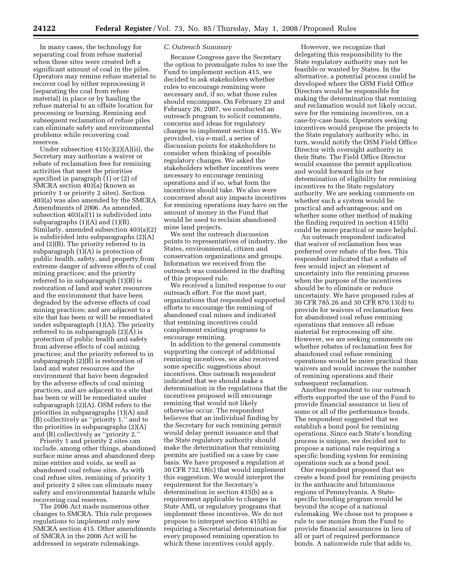In many cases, the technology for separating coal from refuse material when these sites were created left a significant amount of coal in the piles. Operators may remine refuse material to recover coal by either reprocessing it (separating the coal from refuse material) in place or by hauling the refuse material to an offsite location for processing or burning. Remining and subsequent reclamation of refuse piles can eliminate safety and environmental problems while recovering coal reserves.

Under subsection  $415(c)(2)(A)(ii)$ , the Secretary may authorize a waiver or rebate of reclamation fees for remining activities that meet the priorities specified in paragraph (1) or (2) of SMCRA section 403(a) (known as priority 1 or priority 2 sites). Section 403(a) was also amended by the SMCRA Amendments of 2006. As amended, subsection 403(a)(1) is subdivided into subparagraphs  $(1)(A)$  and  $(1)(B)$ . Similarly, amended subsection 403(a)(2) is subdivided into subparagraphs (2)(A) and (2)(B). The priority referred to in subparagraph (1)(A) is protection of public health, safety, and property from extreme danger of adverse effects of coal mining practices; and the priority referred to in subparagraph (1)(B) is restoration of land and water resources and the environment that have been degraded by the adverse effects of coal mining practices; and are adjacent to a site that has been or will be remediated under subparagraph (1)(A). The priority referred to in subparagraph (2)(A) is protection of public health and safety from adverse effects of coal mining practices; and the priority referred to in subparagraph (2)(B) is restoration of land and water resources and the environment that have been degraded by the adverse effects of coal mining practices, and are adjacent to a site that has been or will be remediated under subparagraph (2)(A). OSM refers to the priorities in subparagraphs (1)(A) and (B) collectively as ''priority 1,'' and to the priorities in subparagraphs (2)(A) and (B) collectively as ''priority 2.''

Priority 1 and priority 2 sites can include, among other things, abandoned surface mine areas and abandoned deep mine entries and voids, as well as abandoned coal refuse sites. As with coal refuse sites, remining of priority 1 and priority 2 sites can eliminate many safety and environmental hazards while recovering coal reserves.

The 2006 Act made numerous other changes to SMCRA. This rule proposes regulations to implement only new SMCRA section 415. Other amendments of SMCRA in the 2006 Act will be addressed in separate rulemakings.

### *C. Outreach Summary*

Because Congress gave the Secretary the option to promulgate rules to use the Fund to implement section 415, we decided to ask stakeholders whether rules to encourage remining were necessary and, if so, what those rules should encompass. On February 23 and February 26, 2007, we conducted an outreach program to solicit comments, concerns and ideas for regulatory changes to implement section 415. We provided, via e-mail, a series of discussion points for stakeholders to consider when thinking of possible regulatory changes. We asked the stakeholders whether incentives were necessary to encourage remining operations and if so, what form the incentives should take. We also were concerned about any impacts incentives for remining operations may have on the amount of money in the Fund that would be used to reclaim abandoned mine land projects.

We sent the outreach discussion points to representatives of industry, the States, environmental, citizen and conservation organizations and groups. Information we received from the outreach was considered in the drafting of this proposed rule.

We received a limited response to our outreach effort. For the most part, organizations that responded supported efforts to encourage the remining of abandoned coal mines and indicated that remining incentives could complement existing programs to encourage remining.

In addition to the general comments supporting the concept of additional remining incentives, we also received some specific suggestions about incentives. One outreach respondent indicated that we should make a determination in the regulations that the incentives proposed will encourage remining that would not likely otherwise occur. The respondent believes that an individual finding by the Secretary for each remining permit would delay permit issuance and that the State regulatory authority should make the determination that remining permits are justified on a case by case basis. We have proposed a regulation at 30 CFR 732.18(c) that would implement this suggestion. We would interpret the requirement for the Secretary's determination in section 415(b) as a requirement applicable to changes in State AML or regulatory programs that implement these incentives. We do not propose to interpret section 415(b) as requiring a Secretarial determination for every proposed remining operation to which these incentives could apply.

However, we recognize that delegating this responsibility to the State regulatory authority may not be feasible or wanted by States. In the alternative, a potential process could be developed where the OSM Field Office Directors would be responsible for making the determination that remining and reclamation would not likely occur, save for the remining incentives, on a case-by-case basis. Operators seeking incentives would propose the projects to the State regulatory authority who, in turn, would notify the OSM Field Office Director with oversight authority in their State. The Field Office Director would examine the permit application and would forward his or her determination of eligibility for remining incentives to the State regulatory authority. We are seeking comments on whether such a system would be practical and advantageous; and on whether some other method of making the finding required in section 415(b) could be more practical or more helpful.

An outreach respondent indicated that waiver of reclamation fees was preferred over rebate of the fees. This respondent indicated that a rebate of fees would inject an element of uncertainty into the remining process when the purpose of the incentives should be to eliminate or reduce uncertainty. We have proposed rules at 30 CFR 785.26 and 30 CFR 870.13(d) to provide for waivers of reclamation fees for abandoned coal refuse remining operations that remove all refuse material for reprocessing off site. However, we are seeking comments on whether rebates of reclamation fees for abandoned coal refuse remining operations would be more practical than waivers and would increase the number of remining operations and their subsequent reclamation.

Another respondent to our outreach efforts supported the use of the Fund to provide financial assurance in lieu of some or all of the performance bonds. The respondent suggested that we establish a bond pool for remining operations. Since each State's bonding process is unique, we decided not to propose a national rule requiring a specific bonding system for remining operations such as a bond pool.

One respondent proposed that we create a bond pool for remining projects in the anthracite and bituminous regions of Pennsylvania. A Statespecific bonding program would be beyond the scope of a national rulemaking. We chose not to propose a rule to use monies from the Fund to provide financial assurances in lieu of all or part of required performance bonds. A nationwide rule that adds to,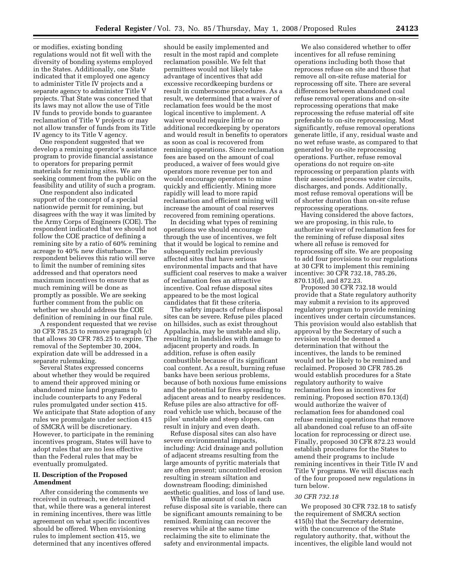or modifies, existing bonding regulations would not fit well with the diversity of bonding systems employed in the States. Additionally, one State indicated that it employed one agency to administer Title IV projects and a separate agency to administer Title V projects. That State was concerned that its laws may not allow the use of Title IV funds to provide bonds to guarantee reclamation of Title V projects or may not allow transfer of funds from its Title IV agency to its Title V agency.

One respondent suggested that we develop a remining operator's assistance program to provide financial assistance to operators for preparing permit materials for remining sites. We are seeking comment from the public on the feasibility and utility of such a program.

One respondent also indicated support of the concept of a special nationwide permit for remining, but disagrees with the way it was limited by the Army Corps of Engineers (COE). The respondent indicated that we should not follow the COE practice of defining a remining site by a ratio of 60% remining acreage to 40% new disturbance. The respondent believes this ratio will serve to limit the number of remining sites addressed and that operators need maximum incentives to ensure that as much remining will be done as promptly as possible. We are seeking further comment from the public on whether we should address the COE definition of remining in our final rule.

A respondent requested that we revise 30 CFR 785.25 to remove paragraph (c) that allows 30 CFR 785.25 to expire. The removal of the September 30, 2004, expiration date will be addressed in a separate rulemaking.

Several States expressed concerns about whether they would be required to amend their approved mining or abandoned mine land programs to include counterparts to any Federal rules promulgated under section 415. We anticipate that State adoption of any rules we promulgate under section 415 of SMCRA will be discretionary. However, to participate in the remining incentives program, States will have to adopt rules that are no less effective than the Federal rules that may be eventually promulgated.

### **II. Description of the Proposed Amendment**

After considering the comments we received in outreach, we determined that, while there was a general interest in remining incentives, there was little agreement on what specific incentives should be offered. When envisioning rules to implement section 415, we determined that any incentives offered

should be easily implemented and result in the most rapid and complete reclamation possible. We felt that permittees would not likely take advantage of incentives that add excessive recordkeeping burdens or result in cumbersome procedures. As a result, we determined that a waiver of reclamation fees would be the most logical incentive to implement. A waiver would require little or no additional recordkeeping by operators and would result in benefits to operators as soon as coal is recovered from remining operations. Since reclamation fees are based on the amount of coal produced, a waiver of fees would give operators more revenue per ton and would encourage operators to mine quickly and efficiently. Mining more rapidly will lead to more rapid reclamation and efficient mining will increase the amount of coal reserves recovered from remining operations.

In deciding what types of remining operations we should encourage through the use of incentives, we felt that it would be logical to remine and subsequently reclaim previously affected sites that have serious environmental impacts and that have sufficient coal reserves to make a waiver of reclamation fees an attractive incentive. Coal refuse disposal sites appeared to be the most logical candidates that fit these criteria.

The safety impacts of refuse disposal sites can be severe. Refuse piles placed on hillsides, such as exist throughout Appalachia, may be unstable and slip, resulting in landslides with damage to adjacent property and roads. In addition, refuse is often easily combustible because of its significant coal content. As a result, burning refuse banks have been serious problems, because of both noxious fume emissions and the potential for fires spreading to adjacent areas and to nearby residences. Refuse piles are also attractive for offroad vehicle use which, because of the piles' unstable and steep slopes, can result in injury and even death.

Refuse disposal sites can also have severe environmental impacts, including: Acid drainage and pollution of adjacent streams resulting from the large amounts of pyritic materials that are often present; uncontrolled erosion resulting in stream siltation and downstream flooding; diminished aesthetic qualities, and loss of land use.

While the amount of coal in each refuse disposal site is variable, there can be significant amounts remaining to be remined. Remining can recover the reserves while at the same time reclaiming the site to eliminate the safety and environmental impacts.

We also considered whether to offer incentives for all refuse remining operations including both those that reprocess refuse on site and those that remove all on-site refuse material for reprocessing off site. There are several differences between abandoned coal refuse removal operations and on-site reprocessing operations that make reprocessing the refuse material off site preferable to on-site reprocessing. Most significantly, refuse removal operations generate little, if any, residual waste and no wet refuse waste, as compared to that generated by on-site reprocessing operations. Further, refuse removal operations do not require on-site reprocessing or preparation plants with their associated process water circuits, discharges, and ponds. Additionally, most refuse removal operations will be of shorter duration than on-site refuse reprocessing operations.

Having considered the above factors, we are proposing, in this rule, to authorize waiver of reclamation fees for the remining of refuse disposal sites where all refuse is removed for reprocessing off site. We are proposing to add four provisions to our regulations at 30 CFR to implement this remining incentive: 30 CFR 732.18, 785.26, 870.13(d), and 872.23.

Proposed 30 CFR 732.18 would provide that a State regulatory authority may submit a revision to its approved regulatory program to provide remining incentives under certain circumstances. This provision would also establish that approval by the Secretary of such a revision would be deemed a determination that without the incentives, the lands to be remined would not be likely to be remined and reclaimed. Proposed 30 CFR 785.26 would establish procedures for a State regulatory authority to waive reclamation fees as incentives for remining. Proposed section 870.13(d) would authorize the waiver of reclamation fees for abandoned coal refuse remining operations that remove all abandoned coal refuse to an off-site location for reprocessing or direct use. Finally, proposed 30 CFR 872.23 would establish procedures for the States to amend their programs to include remining incentives in their Title IV and Title V programs. We will discuss each of the four proposed new regulations in turn below.

## *30 CFR 732.18*

We proposed 30 CFR 732.18 to satisfy the requirement of SMCRA section 415(b) that the Secretary determine, with the concurrence of the State regulatory authority, that, without the incentives, the eligible land would not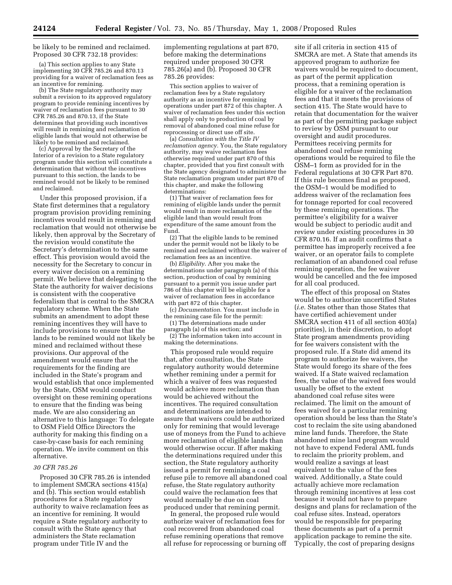be likely to be remined and reclaimed. Proposed 30 CFR 732.18 provides:

(a) This section applies to any State implementing 30 CFR 785.26 and 870.13 providing for a waiver of reclamation fees as an incentive for remining.

(b) The State regulatory authority may submit a revision to its approved regulatory program to provide remining incentives by waiver of reclamation fees pursuant to 30 CFR 785.26 and 870.13, if the State determines that providing such incentives will result in remining and reclamation of eligible lands that would not otherwise be likely to be remined and reclaimed.

(c) Approval by the Secretary of the Interior of a revision to a State regulatory program under this section will constitute a determination that without the incentives pursuant to this section, the lands to be remined would not be likely to be remined and reclaimed.

Under this proposed provision, if a State first determines that a regulatory program provision providing remining incentives would result in remining and reclamation that would not otherwise be likely, then approval by the Secretary of the revision would constitute the Secretary's determination to the same effect. This provision would avoid the necessity for the Secretary to concur in every waiver decision on a remining permit. We believe that delegating to the State the authority for waiver decisions is consistent with the cooperative federalism that is central to the SMCRA regulatory scheme. When the State submits an amendment to adopt these remining incentives they will have to include provisions to ensure that the lands to be remined would not likely be mined and reclaimed without these provisions. Our approval of the amendment would ensure that the requirements for the finding are included in the State's program and would establish that once implemented by the State, OSM would conduct oversight on these remining operations to ensure that the finding was being made. We are also considering an alternative to this language: To delegate to OSM Field Office Directors the authority for making this finding on a case-by-case basis for each remining operation. We invite comment on this alternative.

#### *30 CFR 785.26*

Proposed 30 CFR 785.26 is intended to implement SMCRA sections 415(a) and (b). This section would establish procedures for a State regulatory authority to waive reclamation fees as an incentive for remining. It would require a State regulatory authority to consult with the State agency that administers the State reclamation program under Title IV and the

implementing regulations at part 870, before making the determinations required under proposed 30 CFR 785.26(a) and (b). Proposed 30 CFR 785.26 provides:

This section applies to waiver of reclamation fees by a State regulatory authority as an incentive for remining operations under part 872 of this chapter. A waiver of reclamation fees under this section shall apply only to production of coal by removal of abandoned coal mine refuse for reprocessing or direct use off site.

(a) *Consultation with the Title IV reclamation agency.* You, the State regulatory authority, may waive reclamation fees otherwise required under part 870 of this chapter, provided that you first consult with the State agency designated to administer the State reclamation program under part 870 of this chapter, and make the following determinations:

(1) That waiver of reclamation fees for remining of eligible lands under the permit would result in more reclamation of the eligible land than would result from expenditure of the same amount from the Fund.

(2) That the eligible lands to be remined under the permit would not be likely to be remined and reclaimed without the waiver of reclamation fees as an incentive.

(b) *Eligibility*. After you make the determinations under paragraph (a) of this section, production of coal by remining pursuant to a permit you issue under part 786 of this chapter will be eligible for a waiver of reclamation fees in accordance with part 872 of this chapter.

(c) *Documentation*. You must include in the remining case file for the permit:

(1) The determinations made under paragraph (a) of this section; and

(2) The information taken into account in making the determinations.

This proposed rule would require that, after consultation, the State regulatory authority would determine whether remining under a permit for which a waiver of fees was requested would achieve more reclamation than would be achieved without the incentives. The required consultation and determinations are intended to assure that waivers could be authorized only for remining that would leverage use of moneys from the Fund to achieve more reclamation of eligible lands than would otherwise occur. If after making the determinations required under this section, the State regulatory authority issued a permit for remining a coal refuse pile to remove all abandoned coal refuse, the State regulatory authority could waive the reclamation fees that would normally be due on coal produced under that remining permit.

In general, the proposed rule would authorize waiver of reclamation fees for coal recovered from abandoned coal refuse remining operations that remove all refuse for reprocessing or burning off

site if all criteria in section 415 of SMCRA are met. A State that amends its approved program to authorize fee waivers would be required to document, as part of the permit application process, that a remining operation is eligible for a waiver of the reclamation fees and that it meets the provisions of section 415. The State would have to retain that documentation for the waiver as part of the permitting package subject to review by OSM pursuant to our oversight and audit procedures. Permittees receiving permits for abandoned coal refuse remining operations would be required to file the OSM–1 form as provided for in the Federal regulations at 30 CFR Part 870. If this rule becomes final as proposed, the OSM–1 would be modified to address waiver of the reclamation fees for tonnage reported for coal recovered by these remining operations. The permittee's eligibility for a waiver would be subject to periodic audit and review under existing procedures in 30 CFR 870.16. If an audit confirms that a permittee has improperly received a fee waiver, or an operator fails to complete reclamation of an abandoned coal refuse remining operation, the fee waiver would be cancelled and the fee imposed for all coal produced.

The effect of this proposal on States would be to authorize uncertified States (*i.e.* States other than those States that have certified achievement under SMCRA section 411 of all section 403(a) priorities), in their discretion, to adopt State program amendments providing for fee waivers consistent with the proposed rule. If a State did amend its program to authorize fee waivers, the State would forego its share of the fees waived. If a State waived reclamation fees, the value of the waived fees would usually be offset to the extent abandoned coal refuse sites were reclaimed. The limit on the amount of fees waived for a particular remining operation should be less than the State's cost to reclaim the site using abandoned mine land funds. Therefore, the State abandoned mine land program would not have to expend Federal AML funds to reclaim the priority problem, and would realize a savings at least equivalent to the value of the fees waived. Additionally, a State could actually achieve more reclamation through remining incentives at less cost because it would not have to prepare designs and plans for reclamation of the coal refuse sites. Instead, operators would be responsible for preparing these documents as part of a permit application package to remine the site. Typically, the cost of preparing designs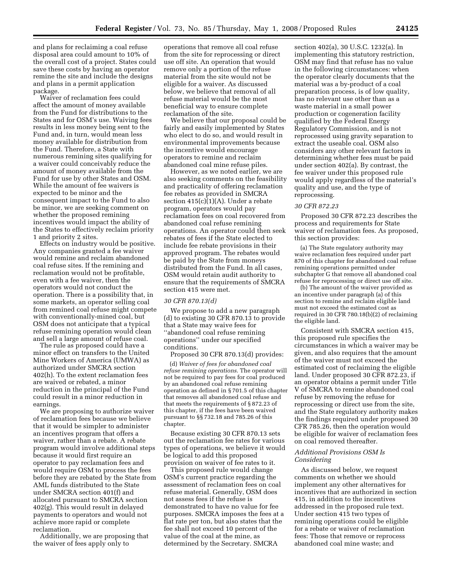and plans for reclaiming a coal refuse disposal area could amount to 10% of the overall cost of a project. States could save these costs by having an operator remine the site and include the designs and plans in a permit application package.

Waiver of reclamation fees could affect the amount of money available from the Fund for distributions to the States and for OSM's use. Waiving fees results in less money being sent to the Fund and, in turn, would mean less money available for distribution from the Fund. Therefore, a State with numerous remining sites qualifying for a waiver could conceivably reduce the amount of money available from the Fund for use by other States and OSM. While the amount of fee waivers is expected to be minor and the consequent impact to the Fund to also be minor, we are seeking comment on whether the proposed remining incentives would impact the ability of the States to effectively reclaim priority 1 and priority 2 sites.

Effects on industry would be positive. Any companies granted a fee waiver would remine and reclaim abandoned coal refuse sites. If the remining and reclamation would not be profitable, even with a fee waiver, then the operators would not conduct the operation. There is a possibility that, in some markets, an operator selling coal from remined coal refuse might compete with conventionally-mined coal, but OSM does not anticipate that a typical refuse remining operation would clean and sell a large amount of refuse coal.

The rule as proposed could have a minor effect on transfers to the United Mine Workers of America (UMWA) as authorized under SMCRA section 402(h). To the extent reclamation fees are waived or rebated, a minor reduction in the principal of the Fund could result in a minor reduction in earnings.

We are proposing to authorize waiver of reclamation fees because we believe that it would be simpler to administer an incentives program that offers a waiver, rather than a rebate. A rebate program would involve additional steps because it would first require an operator to pay reclamation fees and would require OSM to process the fees before they are rebated by the State from AML funds distributed to the State under SMCRA section 401(f) and allocated pursuant to SMCRA section 402(g). This would result in delayed payments to operators and would not achieve more rapid or complete reclamation.

Additionally, we are proposing that the waiver of fees apply only to

operations that remove all coal refuse from the site for reprocessing or direct use off site. An operation that would remove only a portion of the refuse material from the site would not be eligible for a waiver. As discussed below, we believe that removal of all refuse material would be the most beneficial way to ensure complete reclamation of the site.

We believe that our proposal could be fairly and easily implemented by States who elect to do so, and would result in environmental improvements because the incentive would encourage operators to remine and reclaim abandoned coal mine refuse piles.

However, as we noted earlier, we are also seeking comments on the feasibility and practicality of offering reclamation fee rebates as provided in SMCRA section 415(c)(1)(A). Under a rebate program, operators would pay reclamation fees on coal recovered from abandoned coal refuse remining operations. An operator could then seek rebates of fees if the State elected to include fee rebate provisions in their approved program. The rebates would be paid by the State from moneys distributed from the Fund. In all cases, OSM would retain audit authority to ensure that the requirements of SMCRA section 415 were met.

### *30 CFR 870.13(d)*

We propose to add a new paragraph (d) to existing 30 CFR 870.13 to provide that a State may waive fees for ''abandoned coal refuse remining operations'' under our specified conditions.

Proposed 30 CFR 870.13(d) provides:

(d) *Waiver of fees for abandoned coal refuse remining operations*. The operator will not be required to pay fees for coal produced by an abandoned coal refuse remining operation as defined in § 701.5 of this chapter that removes all abandoned coal refuse and that meets the requirements of § 872.23 of this chapter, if the fees have been waived pursuant to §§ 732.18 and 785.26 of this chapter.

Because existing 30 CFR 870.13 sets out the reclamation fee rates for various types of operations, we believe it would be logical to add this proposed provision on waiver of fee rates to it.

This proposed rule would change OSM's current practice regarding the assessment of reclamation fees on coal refuse material. Generally, OSM does not assess fees if the refuse is demonstrated to have no value for fee purposes. SMCRA imposes the fees at a flat rate per ton, but also states that the fee shall not exceed 10 percent of the value of the coal at the mine, as determined by the Secretary. SMCRA

section 402(a), 30 U.S.C. 1232(a). In implementing this statutory restriction, OSM may find that refuse has no value in the following circumstances: when the operator clearly documents that the material was a by-product of a coal preparation process, is of low quality, has no relevant use other than as a waste material in a small power production or cogeneration facility qualified by the Federal Energy Regulatory Commission, and is not reprocessed using gravity separation to extract the useable coal. OSM also considers any other relevant factors in determining whether fees must be paid under section 402(a). By contrast, the fee waiver under this proposed rule would apply regardless of the material's quality and use, and the type of reprocessing.

### *30 CFR 872.23*

Proposed 30 CFR 872.23 describes the process and requirements for State waiver of reclamation fees. As proposed, this section provides:

(a) The State regulatory authority may waive reclamation fees required under part 870 of this chapter for abandoned coal refuse remining operations permitted under subchapter G that remove all abandoned coal refuse for reprocessing or direct use off site.

(b) The amount of the waiver provided as an incentive under paragraph (a) of this section to remine and reclaim eligible land must not exceed the estimated cost as required in 30 CFR 780.18(b)(2) of reclaiming the eligible land.

Consistent with SMCRA section 415, this proposed rule specifies the circumstances in which a waiver may be given, and also requires that the amount of the waiver must not exceed the estimated cost of reclaiming the eligible land. Under proposed 30 CFR 872.23, if an operator obtains a permit under Title V of SMCRA to remine abandoned coal refuse by removing the refuse for reprocessing or direct use from the site, and the State regulatory authority makes the findings required under proposed 30 CFR 785.26, then the operation would be eligible for waiver of reclamation fees on coal removed thereafter.

### *Additional Provisions OSM Is Considering*

As discussed below, we request comments on whether we should implement any other alternatives for incentives that are authorized in section 415, in addition to the incentives addressed in the proposed rule text. Under section 415 two types of remining operations could be eligible for a rebate or waiver of reclamation fees: Those that remove or reprocess abandoned coal mine waste; and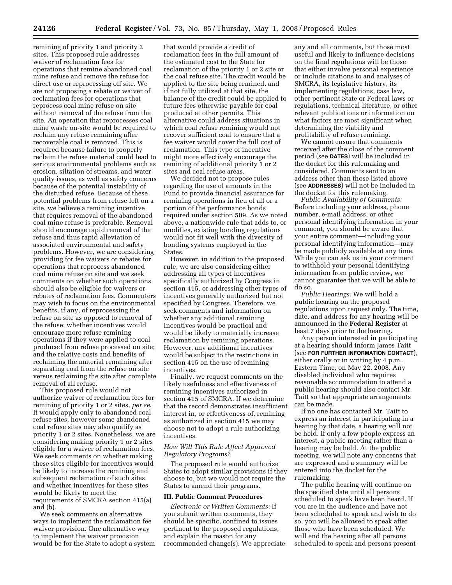remining of priority 1 and priority 2 sites. This proposed rule addresses waiver of reclamation fees for operations that remine abandoned coal mine refuse and remove the refuse for direct use or reprocessing off site. We are not proposing a rebate or waiver of reclamation fees for operations that reprocess coal mine refuse on site without removal of the refuse from the site. An operation that reprocesses coal mine waste on-site would be required to reclaim any refuse remaining after recoverable coal is removed. This is required because failure to properly reclaim the refuse material could lead to serious environmental problems such as erosion, siltation of streams, and water quality issues, as well as safety concerns because of the potential instability of the disturbed refuse. Because of these potential problems from refuse left on a site, we believe a remining incentive that requires removal of the abandoned coal mine refuse is preferable. Removal should encourage rapid removal of the refuse and thus rapid alleviation of associated environmental and safety problems. However, we are considering providing for fee waivers or rebates for operations that reprocess abandoned coal mine refuse on site and we seek comments on whether such operations should also be eligible for waivers or rebates of reclamation fees. Commenters may wish to focus on the environmental benefits, if any, of reprocessing the refuse on site as opposed to removal of the refuse; whether incentives would encourage more refuse remining operations if they were applied to coal produced from refuse processed on site; and the relative costs and benefits of reclaiming the material remaining after separating coal from the refuse on site versus reclaiming the site after complete removal of all refuse.

This proposed rule would not authorize waiver of reclamation fees for remining of priority 1 or 2 sites, *per se*. It would apply only to abandoned coal refuse sites; however some abandoned coal refuse sites may also qualify as priority 1 or 2 sites. Nonetheless, we are considering making priority 1 or 2 sites eligible for a waiver of reclamation fees. We seek comments on whether making these sites eligible for incentives would be likely to increase the remining and subsequent reclamation of such sites and whether incentives for these sites would be likely to meet the requirements of SMCRA section 415(a) and (b).

We seek comments on alternative ways to implement the reclamation fee waiver provision. One alternative way to implement the waiver provision would be for the State to adopt a system

that would provide a credit of reclamation fees in the full amount of the estimated cost to the State for reclamation of the priority 1 or 2 site or the coal refuse site. The credit would be applied to the site being remined, and if not fully utilized at that site, the balance of the credit could be applied to future fees otherwise payable for coal produced at other permits. This alternative could address situations in which coal refuse remining would not recover sufficient coal to ensure that a fee waiver would cover the full cost of reclamation. This type of incentive might more effectively encourage the remining of additional priority 1 or 2 sites and coal refuse areas.

We decided not to propose rules regarding the use of amounts in the Fund to provide financial assurance for remining operations in lieu of all or a portion of the performance bonds required under section 509. As we noted above, a nationwide rule that adds to, or modifies, existing bonding regulations would not fit well with the diversity of bonding systems employed in the States.

However, in addition to the proposed rule, we are also considering either addressing all types of incentives specifically authorized by Congress in section 415, or addressing other types of incentives generally authorized but not specified by Congress. Therefore, we seek comments and information on whether any additional remining incentives would be practical and would be likely to materially increase reclamation by remining operations. However, any additional incentives would be subject to the restrictions in section 415 on the use of remining incentives.

Finally, we request comments on the likely usefulness and effectiveness of remining incentives authorized in section 415 of SMCRA. If we determine that the record demonstrates insufficient interest in, or effectiveness of, remining as authorized in section 415 we may choose not to adopt a rule authorizing incentives.

# *How Will This Rule Affect Approved Regulatory Programs?*

The proposed rule would authorize States to adopt similar provisions if they choose to, but we would not require the States to amend their programs.

#### **III. Public Comment Procedures**

*Electronic or Written Comments:* If you submit written comments, they should be specific, confined to issues pertinent to the proposed regulations, and explain the reason for any recommended change(s). We appreciate any and all comments, but those most useful and likely to influence decisions on the final regulations will be those that either involve personal experience or include citations to and analyses of SMCRA, its legislative history, its implementing regulations, case law, other pertinent State or Federal laws or regulations, technical literature, or other relevant publications or information on what factors are most significant when determining the viability and profitability of refuse remining.

We cannot ensure that comments received after the close of the comment period (see **DATES**) will be included in the docket for this rulemaking and considered. Comments sent to an address other than those listed above (see **ADDRESSES**) will not be included in the docket for this rulemaking.

*Public Availability of Comments:*  Before including your address, phone number, e-mail address, or other personal identifying information in your comment, you should be aware that your entire comment—including your personal identifying information—may be made publicly available at any time. While you can ask us in your comment to withhold your personal identifying information from public review, we cannot guarantee that we will be able to do so.

*Public Hearings:* We will hold a public hearing on the proposed regulations upon request only. The time, date, and address for any hearing will be announced in the **Federal Register** at least 7 days prior to the hearing.

Any person interested in participating at a hearing should inform James Taitt (see **FOR FURTHER INFORMATION CONTACT**), either orally or in writing by 4 p.m., Eastern Time, on May 22, 2008. Any disabled individual who requires reasonable accommodation to attend a public hearing should also contact Mr. Taitt so that appropriate arrangements can be made.

If no one has contacted Mr. Taitt to express an interest in participating in a hearing by that date, a hearing will not be held. If only a few people express an interest, a public meeting rather than a hearing may be held. At the public meeting, we will note any concerns that are expressed and a summary will be entered into the docket for the rulemaking.

The public hearing will continue on the specified date until all persons scheduled to speak have been heard. If you are in the audience and have not been scheduled to speak and wish to do so, you will be allowed to speak after those who have been scheduled. We will end the hearing after all persons scheduled to speak and persons present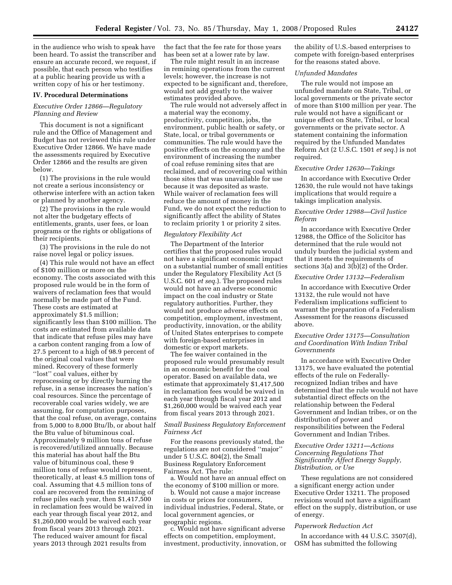in the audience who wish to speak have been heard. To assist the transcriber and ensure an accurate record, we request, if possible, that each person who testifies at a public hearing provide us with a written copy of his or her testimony.

#### **IV. Procedural Determinations**

### *Executive Order 12866—Regulatory Planning and Review*

This document is not a significant rule and the Office of Management and Budget has not reviewed this rule under Executive Order 12866. We have made the assessments required by Executive Order 12866 and the results are given below.

(1) The provisions in the rule would not create a serious inconsistency or otherwise interfere with an action taken or planned by another agency.

(2) The provisions in the rule would not alter the budgetary effects of entitlements, grants, user fees, or loan programs or the rights or obligations of their recipients.

(3) The provisions in the rule do not raise novel legal or policy issues.

(4) This rule would not have an effect of \$100 million or more on the economy. The costs associated with this proposed rule would be in the form of waivers of reclamation fees that would normally be made part of the Fund. These costs are estimated at approximately \$1.5 million; significantly less than \$100 million. The costs are estimated from available data that indicate that refuse piles may have a carbon content ranging from a low of 27.5 percent to a high of 98.9 percent of the original coal values that were mined. Recovery of these formerly ''lost'' coal values, either by reprocessing or by directly burning the refuse, in a sense increases the nation's coal resources. Since the percentage of recoverable coal varies widely, we are assuming, for computation purposes, that the coal refuse, on average, contains from 5,000 to 8,000 Btu/lb, or about half the Btu value of bituminous coal. Approximately 9 million tons of refuse is recovered/utilized annually. Because this material has about half the Btu value of bituminous coal, these 9 million tons of refuse would represent, theoretically, at least 4.5 million tons of coal. Assuming that 4.5 million tons of coal are recovered from the remining of refuse piles each year, then \$1,417,500 in reclamation fees would be waived in each year through fiscal year 2012, and \$1,260,000 would be waived each year from fiscal years 2013 through 2021. The reduced waiver amount for fiscal years 2013 through 2021 results from

the fact that the fee rate for those years has been set at a lower rate by law.

The rule might result in an increase in remining operations from the current levels; however, the increase is not expected to be significant and, therefore, would not add greatly to the waiver estimates provided above.

The rule would not adversely affect in a material way the economy, productivity, competition, jobs, the environment, public health or safety, or State, local, or tribal governments or communities. The rule would have the positive effects on the economy and the environment of increasing the number of coal refuse remining sites that are reclaimed, and of recovering coal within those sites that was unavailable for use because it was deposited as waste. While waiver of reclamation fees will reduce the amount of money in the Fund, we do not expect the reduction to significantly affect the ability of States to reclaim priority 1 or priority 2 sites.

### *Regulatory Flexibility Act*

The Department of the Interior certifies that the proposed rules would not have a significant economic impact on a substantial number of small entities under the Regulatory Flexibility Act (5 U.S.C. 601 *et seq.*). The proposed rules would not have an adverse economic impact on the coal industry or State regulatory authorities. Further, they would not produce adverse effects on competition, employment, investment, productivity, innovation, or the ability of United States enterprises to compete with foreign-based enterprises in domestic or export markets.

The fee waiver contained in the proposed rule would presumably result in an economic benefit for the coal operator. Based on available data, we estimate that approximately \$1,417,500 in reclamation fees would be waived in each year through fiscal year 2012 and \$1,260,000 would be waived each year from fiscal years 2013 through 2021.

## *Small Business Regulatory Enforcement Fairness Act*

For the reasons previously stated, the regulations are not considered ''major'' under 5 U.S.C. 804(2), the Small Business Regulatory Enforcement Fairness Act. The rule:

a. Would not have an annual effect on the economy of \$100 million or more.

b. Would not cause a major increase in costs or prices for consumers, individual industries, Federal, State, or local government agencies, or geographic regions.

c. Would not have significant adverse effects on competition, employment, investment, productivity, innovation, or the ability of U.S.-based enterprises to compete with foreign-based enterprises for the reasons stated above.

### *Unfunded Mandates*

The rule would not impose an unfunded mandate on State, Tribal, or local governments or the private sector of more than \$100 million per year. The rule would not have a significant or unique effect on State, Tribal, or local governments or the private sector. A statement containing the information required by the Unfunded Mandates Reform Act (2 U.S.C. 1501 *et seq.*) is not required.

#### *Executive Order 12630—Takings*

In accordance with Executive Order 12630, the rule would not have takings implications that would require a takings implication analysis.

# *Executive Order 12988—Civil Justice Reform*

In accordance with Executive Order 12988, the Office of the Solicitor has determined that the rule would not unduly burden the judicial system and that it meets the requirements of sections 3(a) and 3(b)(2) of the Order.

# *Executive Order 13132—Federalism*

In accordance with Executive Order 13132, the rule would not have Federalism implications sufficient to warrant the preparation of a Federalism Assessment for the reasons discussed above.

## *Executive Order 13175—Consultation and Coordination With Indian Tribal Governments*

In accordance with Executive Order 13175, we have evaluated the potential effects of the rule on Federallyrecognized Indian tribes and have determined that the rule would not have substantial direct effects on the relationship between the Federal Government and Indian tribes, or on the distribution of power and responsibilities between the Federal Government and Indian Tribes.

## *Executive Order 13211—Actions Concerning Regulations That Significantly Affect Energy Supply, Distribution, or Use*

These regulations are not considered a significant energy action under Executive Order 13211. The proposed revisions would not have a significant effect on the supply, distribution, or use of energy.

#### *Paperwork Reduction Act*

In accordance with 44 U.S.C. 3507(d), OSM has submitted the following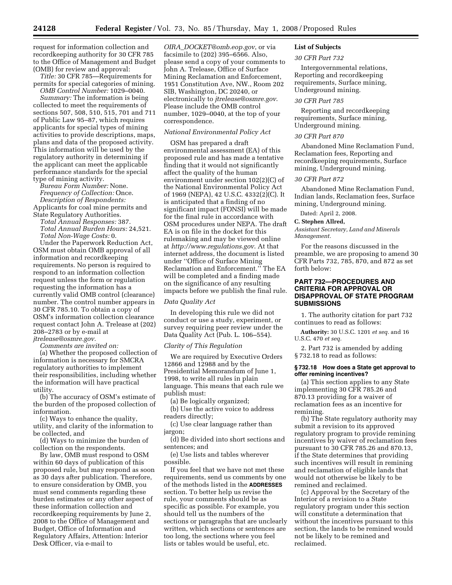request for information collection and recordkeeping authority for 30 CFR 785 to the Office of Management and Budget (OMB) for review and approval:

*Title:* 30 CFR 785—Requirements for permits for special categories of mining. *OMB Control Number:* 1029–0040.

*Summary:* The information is being collected to meet the requirements of sections 507, 508, 510, 515, 701 and 711 of Public Law 95–87, which requires applicants for special types of mining activities to provide descriptions, maps, plans and data of the proposed activity. This information will be used by the regulatory authority in determining if the applicant can meet the applicable performance standards for the special type of mining activity.

*Bureau Form Number:* None. *Frequency of Collection:* Once. *Description of Respondents:* 

Applicants for coal mine permits and State Regulatory Authorities.

*Total Annual Responses:* 387. *Total Annual Burden Hours:* 24,521. *Total Non-Wage Costs:* 0.

Under the Paperwork Reduction Act, OSM must obtain OMB approval of all information and recordkeeping requirements. No person is required to respond to an information collection request unless the form or regulation requesting the information has a currently valid OMB control (clearance) number. The control number appears in 30 CFR 785.10. To obtain a copy of OSM's information collection clearance request contact John A. Trelease at (202) 208–2783 or by e-mail at *jtrelease@osmre.gov.* 

*Comments are invited on:* 

(a) Whether the proposed collection of information is necessary for SMCRA regulatory authorities to implement their responsibilities, including whether the information will have practical utility.

(b) The accuracy of OSM's estimate of the burden of the proposed collection of information.

(c) Ways to enhance the quality, utility, and clarity of the information to be collected, and

(d) Ways to minimize the burden of collection on the respondents.

By law, OMB must respond to OSM within 60 days of publication of this proposed rule, but may respond as soon as 30 days after publication. Therefore, to ensure consideration by OMB, you must send comments regarding these burden estimates or any other aspect of these information collection and recordkeeping requirements by June 2, 2008 to the Office of Management and Budget, Office of Information and Regulatory Affairs, Attention: Interior Desk Officer, via e-mail to

*OIRA*\_*DOCKET@omb.eop.gov*, or via facsimile to (202) 395–6566. Also, please send a copy of your comments to John A. Trelease, Office of Surface Mining Reclamation and Enforcement, 1951 Constitution Ave, NW., Room 202 SIB, Washington, DC 20240, or electronically to *jtrelease@osmre.gov*. Please include the OMB control number, 1029–0040, at the top of your correspondence.

### *National Environmental Policy Act*

OSM has prepared a draft environmental assessment (EA) of this proposed rule and has made a tentative finding that it would not significantly affect the quality of the human environment under section 102(2)(C) of the National Environmental Policy Act of 1969 (NEPA), 42 U.S.C. 4332(2)(C). It is anticipated that a finding of no significant impact (FONSI) will be made for the final rule in accordance with OSM procedures under NEPA. The draft EA is on file in the docket for this rulemaking and may be viewed online at *http://www.regulations.gov*. At that internet address, the document is listed under ''Office of Surface Mining Reclamation and Enforcement.'' The EA will be completed and a finding made on the significance of any resulting impacts before we publish the final rule.

### *Data Quality Act*

In developing this rule we did not conduct or use a study, experiment, or survey requiring peer review under the Data Quality Act (Pub. L. 106–554).

#### *Clarity of This Regulation*

We are required by Executive Orders 12866 and 12988 and by the Presidential Memorandum of June 1, 1998, to write all rules in plain language. This means that each rule we publish must:

(a) Be logically organized;

(b) Use the active voice to address readers directly;

(c) Use clear language rather than jargon;

(d) Be divided into short sections and sentences; and

(e) Use lists and tables wherever possible.

If you feel that we have not met these requirements, send us comments by one of the methods listed in the **ADDRESSES** section. To better help us revise the rule, your comments should be as specific as possible. For example, you should tell us the numbers of the sections or paragraphs that are unclearly written, which sections or sentences are too long, the sections where you feel lists or tables would be useful, etc.

# **List of Subjects**

#### *30 CFR Part 732*

Intergovernmental relations, Reporting and recordkeeping requirements, Surface mining, Underground mining.

## *30 CFR Part 785*

Reporting and recordkeeping requirements, Surface mining, Underground mining.

### *30 CFR Part 870*

Abandoned Mine Reclamation Fund, Reclamation fees, Reporting and recordkeeping requirements, Surface mining, Underground mining.

### *30 CFR Part 872*

Abandoned Mine Reclamation Fund, Indian lands, Reclamation fees, Surface mining, Underground mining.

Dated: April 2, 2008.

#### **C. Stephen Allred,**

*Assistant Secretary, Land and Minerals Management.* 

For the reasons discussed in the preamble, we are proposing to amend 30 CFR Parts 732, 785, 870, and 872 as set forth below:

# **PART 732—PROCEDURES AND CRITERIA FOR APPROVAL OR DISAPPROVAL OF STATE PROGRAM SUBMISSIONS**

1. The authority citation for part 732 continues to read as follows:

**Authority:** 30 U.S.C. 1201 *et seq.* and 16 U.S.C. 470 *et seq.* 

2. Part 732 is amended by adding § 732.18 to read as follows:

#### **§ 732.18 How does a State get approval to offer remining incentives?**

(a) This section applies to any State implementing 30 CFR 785.26 and 870.13 providing for a waiver of reclamation fees as an incentive for remining.

(b) The State regulatory authority may submit a revision to its approved regulatory program to provide remining incentives by waiver of reclamation fees pursuant to 30 CFR 785.26 and 870.13, if the State determines that providing such incentives will result in remining and reclamation of eligible lands that would not otherwise be likely to be remined and reclaimed.

(c) Approval by the Secretary of the Interior of a revision to a State regulatory program under this section will constitute a determination that without the incentives pursuant to this section, the lands to be remined would not be likely to be remined and reclaimed.